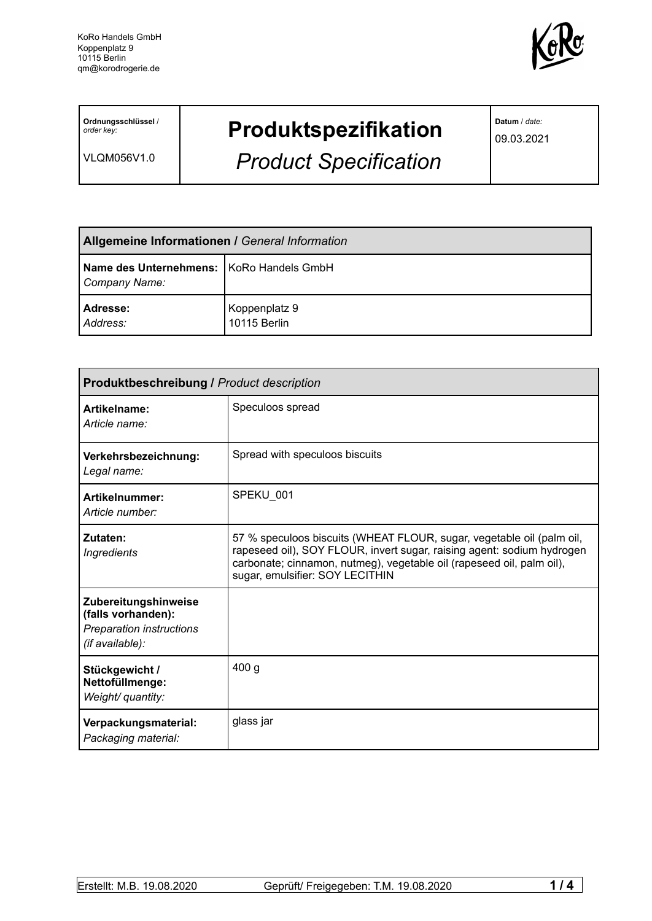

**Ordnungsschlüssel** / *order key:*

VLQM056V1.0

## **Produktspezifikation**

*Product Specification*

**Datum** / *date:*

09.03.2021

| <b>Allgemeine Informationen / General Information</b>       |                               |  |
|-------------------------------------------------------------|-------------------------------|--|
| Name des Unternehmens:   KoRo Handels GmbH<br>Company Name: |                               |  |
| Adresse:<br>Address:                                        | Koppenplatz 9<br>10115 Berlin |  |

| <b>Produktbeschreibung / Product description</b>                                                 |                                                                                                                                                                                                                                                             |  |
|--------------------------------------------------------------------------------------------------|-------------------------------------------------------------------------------------------------------------------------------------------------------------------------------------------------------------------------------------------------------------|--|
| Artikelname:<br>Article name:                                                                    | Speculoos spread                                                                                                                                                                                                                                            |  |
| Verkehrsbezeichnung:<br>Legal name:                                                              | Spread with speculoos biscuits                                                                                                                                                                                                                              |  |
| Artikelnummer:<br>Article number:                                                                | SPEKU 001                                                                                                                                                                                                                                                   |  |
| Zutaten:<br><b>Ingredients</b>                                                                   | 57 % speculoos biscuits (WHEAT FLOUR, sugar, vegetable oil (palm oil,<br>rapeseed oil), SOY FLOUR, invert sugar, raising agent: sodium hydrogen<br>carbonate; cinnamon, nutmeg), vegetable oil (rapeseed oil, palm oil),<br>sugar, emulsifier: SOY LECITHIN |  |
| Zubereitungshinweise<br>(falls vorhanden):<br><b>Preparation instructions</b><br>(if available): |                                                                                                                                                                                                                                                             |  |
| Stückgewicht /<br>Nettofüllmenge:<br>Weight/ quantity:                                           | 400 <sub>g</sub>                                                                                                                                                                                                                                            |  |
| Verpackungsmaterial:<br>Packaging material:                                                      | glass jar                                                                                                                                                                                                                                                   |  |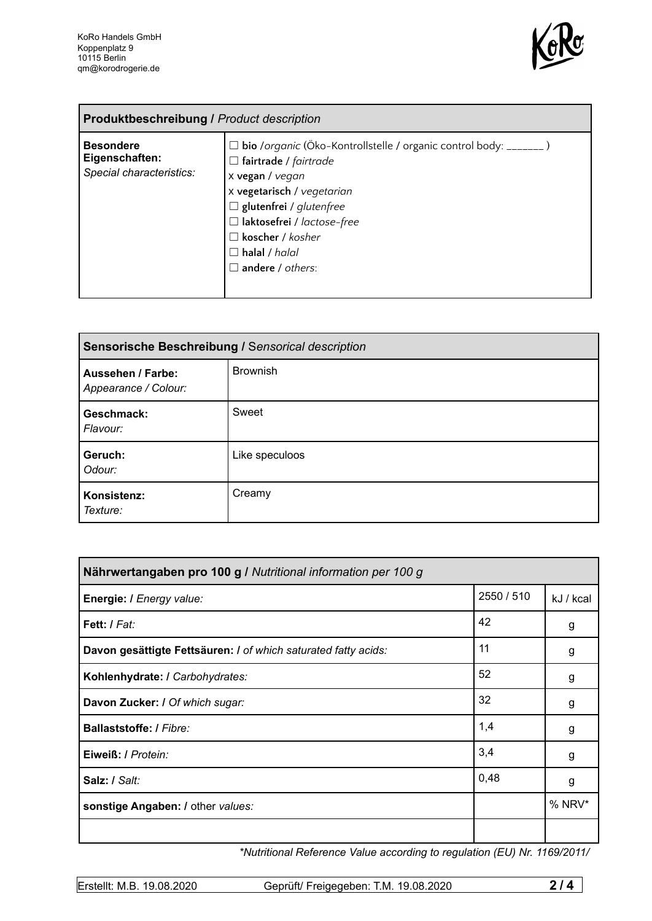

| <b>Produktbeschreibung / Product description</b>               |                                                                                                                                                                                                                                                                                             |  |
|----------------------------------------------------------------|---------------------------------------------------------------------------------------------------------------------------------------------------------------------------------------------------------------------------------------------------------------------------------------------|--|
| <b>Besondere</b><br>Eigenschaften:<br>Special characteristics: | □ bio /organic (Öko-Kontrollstelle / organic control body: _______)<br>$\Box$ fairtrade / fairtrade<br>x vegan / vegan<br>x vegetarisch / vegetarian<br>$\Box$ glutenfrei / glutenfree<br>$\Box$ laktosefrei / lactose-free<br>koscher / kosher<br>$\Box$ halal / halal<br>andere / others: |  |

| Sensorische Beschreibung / Sensorical description |                 |  |
|---------------------------------------------------|-----------------|--|
| Aussehen / Farbe:<br>Appearance / Colour:         | <b>Brownish</b> |  |
| Geschmack:<br>Flavour:                            | Sweet           |  |
| Geruch:<br>Odour:                                 | Like speculoos  |  |
| Konsistenz:<br>Texture:                           | Creamy          |  |

| Nährwertangaben pro 100 g / Nutritional information per 100 g  |            |           |
|----------------------------------------------------------------|------------|-----------|
| Energie: I Energy value:                                       | 2550 / 510 | kJ / kcal |
| Fett: / Fat:                                                   | 42         | g         |
| Davon gesättigte Fettsäuren: I of which saturated fatty acids: | 11         | g         |
| Kohlenhydrate: I Carbohydrates:                                | 52         | g         |
| Davon Zucker: I Of which sugar:                                | 32         | g         |
| Ballaststoffe: / Fibre:                                        | 1,4        | g         |
| Eiweiß: / Protein:                                             | 3,4        | g         |
| Salz: / Salt:                                                  | 0,48       | g         |
| sonstige Angaben: / other values:                              |            | $%$ NRV*  |
|                                                                |            |           |

*\*Nutritional Reference Value according to regulation (EU) Nr. 1169/2011/*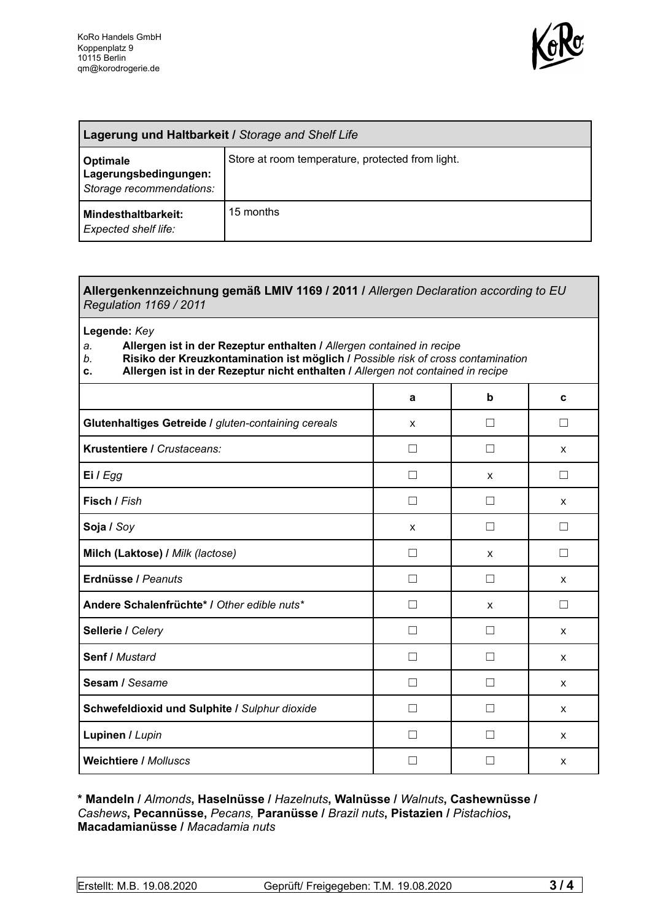

| Lagerung und Haltbarkeit / Storage and Shelf Life                    |                                                  |  |
|----------------------------------------------------------------------|--------------------------------------------------|--|
| <b>Optimale</b><br>Lagerungsbedingungen:<br>Storage recommendations: | Store at room temperature, protected from light. |  |
| Mindesthaltbarkeit:<br><b>Expected shelf life:</b>                   | 15 months                                        |  |

## **Allergenkennzeichnung gemäß LMIV 1169 / 2011 /** *Allergen Declaration according to EU Regulation 1169 / 2011*

**Legende:** *Key*

- *a.* **Allergen ist in der Rezeptur enthalten /** *Allergen contained in recipe*
- *b.* **Risiko der Kreuzkontamination ist möglich /** *Possible risk of cross contamination*
- **c. Allergen ist in der Rezeptur nicht enthalten /** *Allergen not contained in recipe*

|                                                     | a            | b                 | C            |
|-----------------------------------------------------|--------------|-------------------|--------------|
| Glutenhaltiges Getreide / gluten-containing cereals | X            | П                 | П            |
| Krustentiere / Crustaceans:                         |              | П                 | $\mathsf{x}$ |
| Ei / Egg                                            |              | X                 | П            |
| Fisch / Fish                                        | П            | П                 | $\mathsf{x}$ |
| Soja / Soy                                          | X            | П                 | $\Box$       |
| Milch (Laktose) / Milk (lactose)                    | $\mathsf{L}$ | X                 | □            |
| Erdnüsse / Peanuts                                  | $\mathsf{L}$ | П                 | X            |
| Andere Schalenfrüchte* I Other edible nuts*         | П            | X                 | $\Box$       |
| Sellerie / Celery                                   |              | $\vert \ \ \vert$ | X            |
| Senf / Mustard                                      | П            | $\mathsf{L}$      | X            |
| Sesam / Sesame                                      | H            | П                 | $\mathsf{x}$ |
| Schwefeldioxid und Sulphite / Sulphur dioxide       | Ш            | $\mathbf{I}$      | $\mathsf{x}$ |
| Lupinen / Lupin                                     |              |                   | $\mathsf{x}$ |
| <b>Weichtiere / Molluscs</b>                        |              |                   | X            |

**\* Mandeln /** *Almonds***, Haselnüsse /** *Hazelnuts***, Walnüsse /** *Walnuts***, Cashewnüsse /** *Cashews***, Pecannüsse,** *Pecans,* **Paranüsse /** *Brazil nuts***, Pistazien /** *Pistachios***, Macadamianüsse /** *Macadamia nuts*